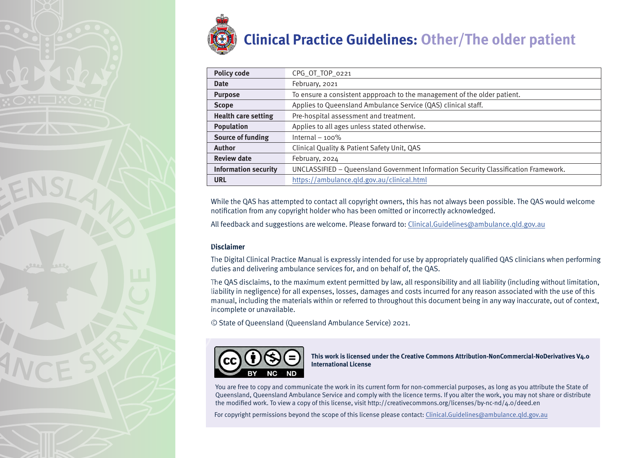

| <b>Policy code</b>          | CPG_OT_TOP_0221                                                                     |
|-----------------------------|-------------------------------------------------------------------------------------|
| <b>Date</b>                 | February, 2021                                                                      |
| <b>Purpose</b>              | To ensure a consistent appproach to the management of the older patient.            |
| <b>Scope</b>                | Applies to Queensland Ambulance Service (QAS) clinical staff.                       |
| <b>Health care setting</b>  | Pre-hospital assessment and treatment.                                              |
| <b>Population</b>           | Applies to all ages unless stated otherwise.                                        |
| <b>Source of funding</b>    | Internal $-100\%$                                                                   |
| <b>Author</b>               | Clinical Quality & Patient Safety Unit, QAS                                         |
| <b>Review date</b>          | February, 2024                                                                      |
| <b>Information security</b> | UNCLASSIFIED - Queensland Government Information Security Classification Framework. |
| <b>URL</b>                  | https://ambulance.qld.gov.au/clinical.html                                          |

While the QAS has attempted to contact all copyright owners, this has not always been possible. The QAS would welcome notification from any copyright holder who has been omitted or incorrectly acknowledged.

All feedback and suggestions are welcome. Please forward to: Clinical.Guidelines@ambulance.qld.gov.au

#### **Disclaimer**

The Digital Clinical Practice Manual is expressly intended for use by appropriately qualified QAS clinicians when performing duties and delivering ambulance services for, and on behalf of, the QAS.

The QAS disclaims, to the maximum extent permitted by law, all responsibility and all liability (including without limitation, liability in negligence) for all expenses, losses, damages and costs incurred for any reason associated with the use of this manual, including the materials within or referred to throughout this document being in any way inaccurate, out of context, incomplete or unavailable.

© State of Queensland (Queensland Ambulance Service) 2021.



**This work is licensed under the Creative Commons Attribution-NonCommercial-NoDerivatives V4.0 International License**

You are free to copy and communicate the work in its current form for non-commercial purposes, as long as you attribute the State of Queensland, Queensland Ambulance Service and comply with the licence terms. If you alter the work, you may not share or distribute the modified work. To view a copy of this license, visit http://creativecommons.org/licenses/by-nc-nd/4.0/deed.en

For copyright permissions beyond the scope of this license please contact: Clinical.Guidelines@ambulance.qld.gov.au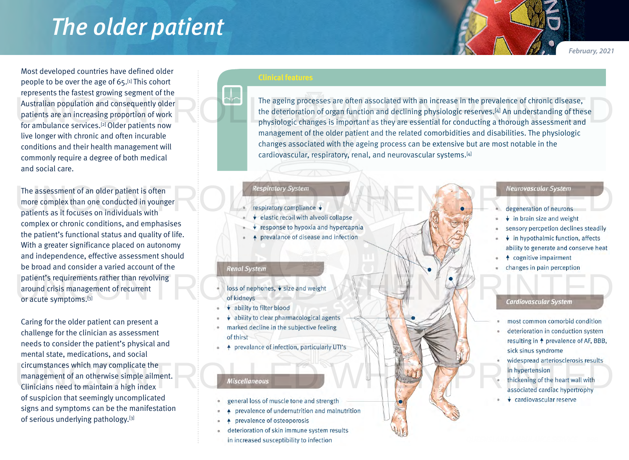## *The older patient*

*February, 2021*

Most developed countries have defined older people to be over the age of 65.[1] This cohort represents the fastest growing segment of the Australian population and consequently older patients are an increasing proportion of work for ambulance services.<sup>[2]</sup> Older patients now live longer with chronic and often incurable conditions and their health management will commonly require a degree of both medical and social care.

The assessment of an older patient is often more complex than one conducted in younger patients as it focuses on individuals with complex or chronic conditions, and emphasises the patient's functional status and quality of life. With a greater significance placed on autonomy and independence, effective assessment should be broad and consider a varied account of the patient's requirements rather than revolving around crisis management of recurrent or acute symptoms.<sup>[3]</sup> The assessment of an older patient is often<br>
more complex than one conducted in younger<br>
patients as it focuses on individuals with<br>  $\begin{matrix}\n\text{Respiratory System} \\
\text{respiratory compliance }\n\end{matrix}$ <br>  $\begin{matrix}\n\text{Respiratory System} \\
\text{respiratory compliance }\n\end{matrix}$ patient's requirements rather than revolving<br>around crisis management of recurrent<br>or acute symptoms.<sup>[3]</sup> Cardiovascular System<br>of kidneys and weight<br>ability to filter blood

Caring for the older patient can present a challenge for the clinician as assessment needs to consider the patient's physical and mental state, medications, and social circumstances which may complicate the management of an otherwise simple ailment. Clinicians need to maintain a high index of suspicion that seemingly uncomplicated signs and symptoms can be the manifestation of serious underlying pathology.[3] Experiment of an otherwise simple ailment.<br>
Clinicians need to maintain a high index<br>
Several cardiac hypertrophy<br>
Several cardiac hypertrophy<br>
Several cardiac hypertrophy<br>
Several cardiac hypertrophy<br>
Several cardiac hype

The ageing processes are often associated with an increase in the prevalence of chronic disease, the deterioration of organ function and declining physiologic reserves.[4] An understanding of these physiologic changes is important as they are essential for conducting a thorough assessment and management of the older patient and the related comorbidities and disabilities. The physiologic changes associated with the ageing process can be extensive but are most notable in the cardiovascular, respiratory, renal, and neurovascular systems.[4] Australian population and consequently older<br>
The ageing processes are often associated with an increase in the prevalence of chronic disease,<br>
the deterioration of organ function and declining physiologic reserves.<sup>[4]</sup> A

- 
- 
- response to hypoxia and hypercapnia
- prevalance of disease and infection

#### **Renal System**

- 
- 
- ability to clear pharmacological agents
- marked decline in the subjective feeling of thirst
- prevalance of infection, particularly UTI's  $\ddot{\bullet}$

- 
- prevalence of undernutrition and malnutrition
- prevalence of osteoporosis
- deterioration of skin immune system results
- in increased susceptibility to infection

- 
- 
- sensory percpetion declines steadily
- $\overline{\bullet}$  in hypothalmic function, affects ability to generate and conserve heat
- ↑ cognitive impairment
- changes in pain perception

- most common comorbid condition
- deterioration in conduction system resulting in <sup>+</sup> prevalence of AF, BBB, sick sinus syndrome
- 
- 
-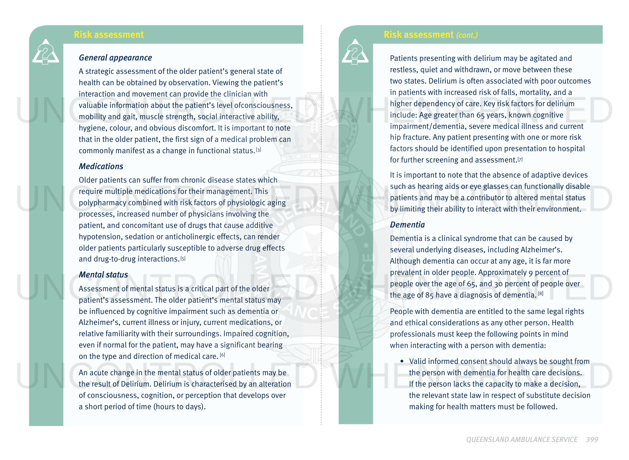### **Risk assessment**

#### *General appearance*

A strategic assessment of the older patient's general state of health can be obtained by observation. Viewing the patient's interaction and movement can provide the clinician with valuable information about the patient's level ofconsciousness, mobility and gait, muscle strength, social interactive ability, hygiene, colour, and obvious discomfort. It is important to note that in the older patient, the first sign of a medical problem can commonly manifest as a change in functional status.[3] Valuable information about the patient's level of consciousness,<br>
whigher dependency of care. Key risk factors for delirium<br>
mobility and gait, muscle strength, social interactive ability,<br>
hygiene, colour, and obvious dis

#### *Medications*

Older patients can suffer from chronic disease states which require multiple medications for their management. This polypharmacy combined with risk factors of physiologic aging processes, increased number of physicians involving the patient, and concomitant use of drugs that cause additive hypotension, sedation or anticholinergic effects, can render older patients particularly susceptible to adverse drug effects and drug-to-drug interactions.<sup>[5]</sup> The polypharmacy combined with risk factors of physiologic aging<br>polypharmacy combined with risk factors of physiologic aging<br>processes, increased number of physicians involving the<br>processes, increased number of physician

#### *Mental status*

Assessment of mental status is a critical part of the older patient's assessment. The older patient's mental status may be influenced by cognitive impairment such as dementia or Alzheimer's, current illness or injury, current medications, or relative familiarity with their surroundings. Impaired cognition, even if normal for the patient, may have a significant bearing on the type and direction of medical care. [6]

An acute change in the mental status of older patients may be the result of Delirium. Delirium is characterised by an alteration of consciousness, cognition, or perception that develops over a short period of time (hours to days).

## **Risk assessment** *(cont.)*

Patients presenting with delirium may be agitated and restless, quiet and withdrawn, or move between these two states. Delirium is often associated with poor outcomes in patients with increased risk of falls, mortality, and a higher dependency of care. Key risk factors for delirium include: Age greater than 65 years, known cognitive impairment/dementia, severe medical illness and current hip fracture. Any patient presenting with one or more risk factors should be identified upon presentation to hospital for further screening and assessment.<sup>[7]</sup>

It is important to note that the absence of adaptive devices such as hearing aids or eye glasses can functionally disable patients and may be a contributor to altered mental status by limiting their ability to interact with their environment.

#### *Dementia*

Dementia is a clinical syndrome that can be caused by several underlying diseases, including Alzheimer's. Although dementia can occur at any age, it is far more prevalent in older people. Approximately 9 percent of people over the age of 65, and 30 percent of people over the age of 85 have a diagnosis of dementia.  $[8]$ Mental status<br>
Assessment of mental status is a critical part of the older<br>
patient's assessment. The older patient's mental status may<br>
patient's assessment. The older patient's mental status may<br>
patient's assessment. Th

People with dementia are entitled to the same legal rights and ethical considerations as any other person. Health professionals must keep the following points in mind when interacting with a person with dementia:

• Valid informed consent should always be sought from the person with dementia for health care decisions. If the person lacks the capacity to make a decision, the relevant state law in respect of substitute decision making for health matters must be followed. An acute change in the mental status of older patients may be<br>the person with dementia for health care decisions.<br>If the person lacks the capacity to make a decision,<br>of consciousness, cognition, or perception that develop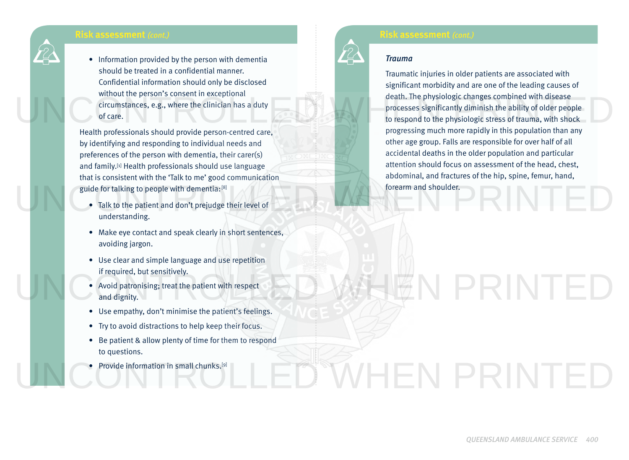## **Risk assessment** *(cont.)*

• Information provided by the person with dementia should be treated in a confidential manner. Confidential information should only be disclosed without the person's consent in exceptional circumstances, e.g., where the clinician has a duty of care.

Health professionals should provide person-centred care, by identifying and responding to individual needs and preferences of the person with dementia, their carer(s) and family.<sup>[1]</sup> Health professionals should use language that is consistent with the 'Talk to me' good communication guide for talking to people with dementia: [8]

- Talk to the patient and don't prejudge their level of understanding. guide for talking to people with dementia: [8]<br>
• Talk to the patient and don't prejudge their level of<br>
understanding.
	- Make eye contact and speak clearly in short sentences, avoiding jargon.
	- Use clear and simple language and use repetition if required, but sensitively.
	- Avoid patronising; treat the patient with respect and dignity.
	- Use empathy, don't minimise the patient's feelings.
	- Try to avoid distractions to help keep their focus.
	- Be patient & allow plenty of time for them to respond to questions.
	- Provide information in small chunks.<sup>[9]</sup>

## **Risk assessment** *(cont.)*

#### *Trauma*

Traumatic injuries in older patients are associated with significant morbidity and are one of the leading causes of death. The physiologic changes combined with disease processes significantly diminish the ability of older people to respond to the physiologic stress of trauma, with shock progressing much more rapidly in this population than any other age group. Falls are responsible for over half of all accidental deaths in the older population and particular attention should focus on assessment of the head, chest, abdominal, and fractures of the hip, spine, femur, hand, forearm and shoulder. When the person 3 consent in exceptional death. The physiologic changes combined with disease<br>circumstances, e.g., where the clinician has a duty<br>of care.<br>Hackbox progressing much more rapidly in this population than any

# **UEN PRINTE**

UNCONTROLLED WHEN PRINTED